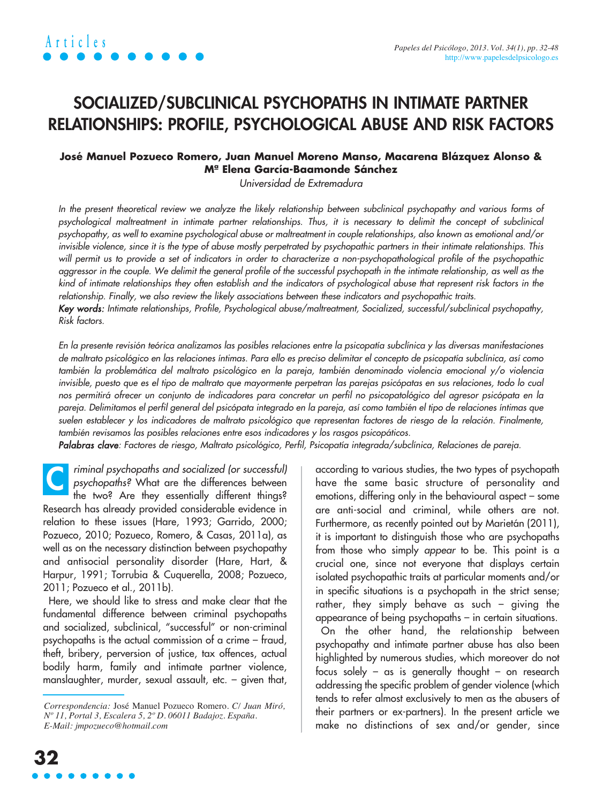### **SOCIALIZED/SUBCLINICAL PSYCHOPATHS IN INTIMATE PARTNER RELATIONSHIPS: PROFILE, PSYCHOLOGICAL ABUSE AND RISK FACTORS**

### **José Manuel Pozueco Romero, Juan Manuel Moreno Manso, Macarena Blázquez Alonso & Mª Elena García-Baamonde Sánchez**

Universidad de Extremadura

In the present theoretical review we analyze the likely relationship between subclinical psychopathy and various forms of psychological maltreatment in intimate partner relationships. Thus, it is necessary to delimit the concept of subclinical psychopathy, as well to examine psychological abuse or maltreatment in couple relationships, also known as emotional and/or invisible violence, since it is the type of abuse mostly perpetrated by psychopathic partners in their intimate relationships. This will permit us to provide a set of indicators in order to characterize a non-psychopathological profile of the psychopathic aggressor in the couple. We delimit the general profile of the successful psychopath in the intimate relationship, as well as the kind of intimate relationships they often establish and the indicators of psychological abuse that represent risk factors in the relationship. Finally, we also review the likely associations between these indicators and psychopathic traits.

Key words: Intimate relationships, Profile, Psychological abuse/maltreatment, Socialized, successful/subclinical psychopathy, Risk factors.

En la presente revisión teórica analizamos las posibles relaciones entre la psicopatía subclínica y las diversas manifestaciones de maltrato psicológico en las relaciones íntimas. Para ello es preciso delimitar el concepto de psicopatía subclínica, así como también la problemática del maltrato psicológico en la pareja, también denominado violencia emocional y/o violencia invisible, puesto que es el tipo de maltrato que mayormente perpetran las parejas psicópatas en sus relaciones, todo lo cual nos permitirá ofrecer un conjunto de indicadores para concretar un perfil no psicopatológico del agresor psicópata en la pareja. Delimitamos el perfil general del psicópata integrado en la pareja, así como también el tipo de relaciones íntimas que suelen establecer y los indicadores de maltrato psicológico que representan factores de riesgo de la relación. Finalmente, también revisamos las posibles relaciones entre esos indicadores y los rasgos psicopáticos.

Palabras clave: Factores de riesgo, Maltrato psicológico, Perfil, Psicopatía integrada/subclínica, Relaciones de pareja.

riminal psychopaths and socialized (or successful) psychopaths? What are the differences between the two? Are they essentially different things? Research has already provided considerable evidence in relation to these issues (Hare, 1993; Garrido, 2000; Pozueco, 2010; Pozueco, Romero, & Casas, 2011a), as well as on the necessary distinction between psychopathy and antisocial personality disorder (Hare, Hart, & Harpur, 1991; Torrubia & Cuquerella, 2008; Pozueco, 2011; Pozueco et al., 2011b). **C**

Here, we should like to stress and make clear that the fundamental difference between criminal psychopaths and socialized, subclinical, "successful" or non-criminal psychopaths is the actual commission of a crime – fraud, theft, bribery, perversion of justice, tax offences, actual bodily harm, family and intimate partner violence, manslaughter, murder, sexual assault, etc. – given that, according to various studies, the two types of psychopath have the same basic structure of personality and emotions, differing only in the behavioural aspect – some are anti-social and criminal, while others are not. Furthermore, as recently pointed out by Marietán (2011), it is important to distinguish those who are psychopaths from those who simply appear to be. This point is a crucial one, since not everyone that displays certain isolated psychopathic traits at particular moments and/or in specific situations is a psychopath in the strict sense; rather, they simply behave as such – giving the appearance of being psychopaths – in certain situations.

On the other hand, the relationship between psychopathy and intimate partner abuse has also been highlighted by numerous studies, which moreover do not focus solely – as is generally thought – on research addressing the specific problem of gender violence (which tends to refer almost exclusively to men as the abusers of their partners or ex-partners). In the present article we make no distinctions of sex and/or gender, since

*Correspondencia:* José Manuel Pozueco Romero. *C/ Juan Miró, Nº 11, Portal 3, Escalera 5, 2º D. 06011 Badajoz. España. E-Mail: jmpozueco@hotmail.com*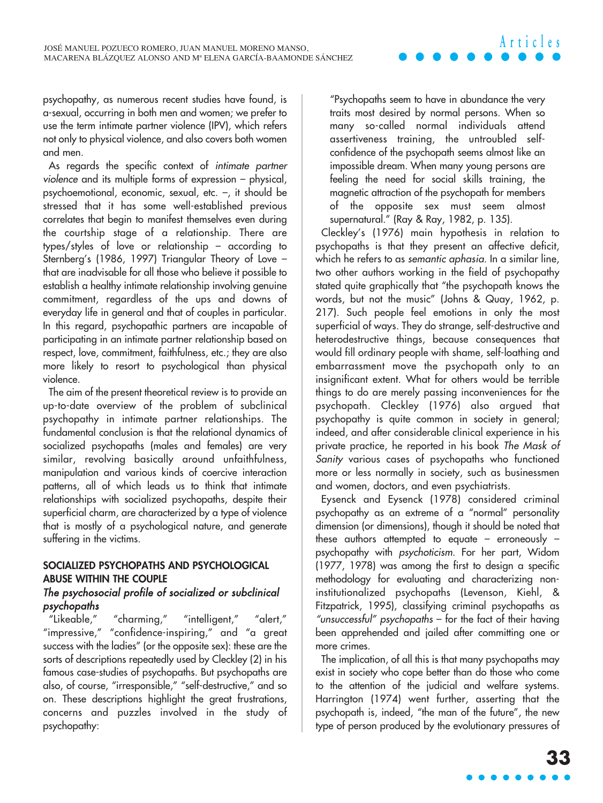psychopathy, as numerous recent studies have found, is a-sexual, occurring in both men and women; we prefer to use the term intimate partner violence (IPV), which refers not only to physical violence, and also covers both women and men.

As regards the specific context of intimate partner violence and its multiple forms of expression – physical, psychoemotional, economic, sexual, etc. –, it should be stressed that it has some well-established previous correlates that begin to manifest themselves even during the courtship stage of a relationship. There are types/styles of love or relationship – according to Sternberg's (1986, 1997) Triangular Theory of Love – that are inadvisable for all those who believe it possible to establish a healthy intimate relationship involving genuine commitment, regardless of the ups and downs of everyday life in general and that of couples in particular. In this regard, psychopathic partners are incapable of participating in an intimate partner relationship based on respect, love, commitment, faithfulness, etc.; they are also more likely to resort to psychological than physical violence.

The aim of the present theoretical review is to provide an up-to-date overview of the problem of subclinical psychopathy in intimate partner relationships. The fundamental conclusion is that the relational dynamics of socialized psychopaths (males and females) are very similar, revolving basically around unfaithfulness, manipulation and various kinds of coercive interaction patterns, all of which leads us to think that intimate relationships with socialized psychopaths, despite their superficial charm, are characterized by a type of violence that is mostly of a psychological nature, and generate suffering in the victims.

### **SOCIALIZED PSYCHOPATHS AND PSYCHOLOGICAL ABUSE WITHIN THE COUPLE** The psychosocial profile of socialized or subclinical psychopaths

"Likeable," "charming," "intelligent," "alert," "impressive," "confidence-inspiring," and "a great success with the ladies" (or the opposite sex): these are the sorts of descriptions repeatedly used by Cleckley (2) in his famous case-studies of psychopaths. But psychopaths are also, of course, "irresponsible," "self-destructive," and so on. These descriptions highlight the great frustrations, concerns and puzzles involved in the study of psychopathy:

"Psychopaths seem to have in abundance the very traits most desired by normal persons. When so many so-called normal individuals attend assertiveness training, the untroubled selfconfidence of the psychopath seems almost like an impossible dream. When many young persons are feeling the need for social skills training, the magnetic attraction of the psychopath for members of the opposite sex must seem almost supernatural." (Ray & Ray, 1982, p. 135).

**Articles**

Cleckley's (1976) main hypothesis in relation to psychopaths is that they present an affective deficit, which he refers to as semantic aphasia. In a similar line, two other authors working in the field of psychopathy stated quite graphically that "the psychopath knows the words, but not the music" (Johns & Quay, 1962, p. 217). Such people feel emotions in only the most superficial of ways. They do strange, self-destructive and heterodestructive things, because consequences that would fill ordinary people with shame, self-loathing and embarrassment move the psychopath only to an insignificant extent. What for others would be terrible things to do are merely passing inconveniences for the psychopath. Cleckley (1976) also argued that psychopathy is quite common in society in general; indeed, and after considerable clinical experience in his private practice, he reported in his book The Mask of Sanity various cases of psychopaths who functioned more or less normally in society, such as businessmen and women, doctors, and even psychiatrists.

Eysenck and Eysenck (1978) considered criminal psychopathy as an extreme of a "normal" personality dimension (or dimensions), though it should be noted that these authors attempted to equate – erroneously – psychopathy with psychoticism. For her part, Widom (1977, 1978) was among the first to design a specific methodology for evaluating and characterizing noninstitutionalized psychopaths (Levenson, Kiehl, & Fitzpatrick, 1995), classifying criminal psychopaths as "unsuccessful" psychopaths – for the fact of their having been apprehended and jailed after committing one or more crimes.

The implication, of all this is that many psychopaths may exist in society who cope better than do those who come to the attention of the judicial and welfare systems. Harrington (1974) went further, asserting that the psychopath is, indeed, "the man of the future", the new type of person produced by the evolutionary pressures of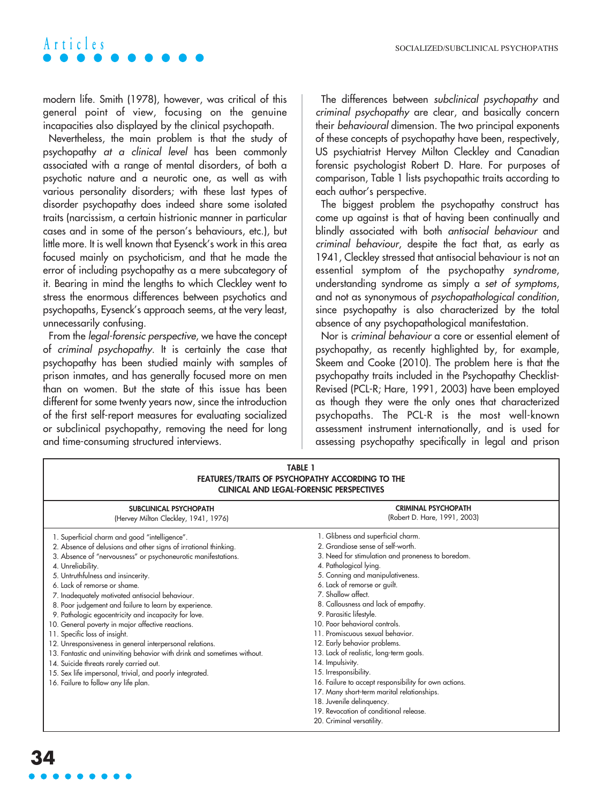modern life. Smith (1978), however, was critical of this general point of view, focusing on the genuine incapacities also displayed by the clinical psychopath.

Nevertheless, the main problem is that the study of psychopathy at a clinical level has been commonly associated with a range of mental disorders, of both a psychotic nature and a neurotic one, as well as with various personality disorders; with these last types of disorder psychopathy does indeed share some isolated traits (narcissism, a certain histrionic manner in particular cases and in some of the person's behaviours, etc.), but little more. It is well known that Eysenck's work in this area focused mainly on psychoticism, and that he made the error of including psychopathy as a mere subcategory of it. Bearing in mind the lengths to which Cleckley went to stress the enormous differences between psychotics and psychopaths, Eysenck's approach seems, at the very least, unnecessarily confusing.

From the legal-forensic perspective, we have the concept of criminal psychopathy. It is certainly the case that psychopathy has been studied mainly with samples of prison inmates, and has generally focused more on men than on women. But the state of this issue has been different for some twenty years now, since the introduction of the first self-report measures for evaluating socialized or subclinical psychopathy, removing the need for long and time-consuming structured interviews.

The differences between subclinical psychopathy and criminal psychopathy are clear, and basically concern their behavioural dimension. The two principal exponents of these concepts of psychopathy have been, respectively, US psychiatrist Hervey Milton Cleckley and Canadian forensic psychologist Robert D. Hare. For purposes of comparison, Table 1 lists psychopathic traits according to each author's perspective.

The biggest problem the psychopathy construct has come up against is that of having been continually and blindly associated with both antisocial behaviour and criminal behaviour, despite the fact that, as early as 1941, Cleckley stressed that antisocial behaviour is not an essential symptom of the psychopathy syndrome, understanding syndrome as simply a set of symptoms, and not as synonymous of psychopathological condition, since psychopathy is also characterized by the total absence of any psychopathological manifestation.

Nor is criminal behaviour a core or essential element of psychopathy, as recently highlighted by, for example, Skeem and Cooke (2010). The problem here is that the psychopathy traits included in the Psychopathy Checklist-Revised (PCL-R; Hare, 1991, 2003) have been employed as though they were the only ones that characterized psychopaths. The PCL-R is the most well-known assessment instrument internationally, and is used for assessing psychopathy specifically in legal and prison

| <b>TABLE 1</b><br>FEATURES/TRAITS OF PSYCHOPATHY ACCORDING TO THE<br><b>CLINICAL AND LEGAL-FORENSIC PERSPECTIVES</b>                                                                                                                                                                                                                                                                                                                                                                                                                                                                                                                                                                                                                                                                                                         |                                                                                                                                                                                                                                                                                                                                                                                                                                                                                                                                                                                                                                                                                                                            |  |
|------------------------------------------------------------------------------------------------------------------------------------------------------------------------------------------------------------------------------------------------------------------------------------------------------------------------------------------------------------------------------------------------------------------------------------------------------------------------------------------------------------------------------------------------------------------------------------------------------------------------------------------------------------------------------------------------------------------------------------------------------------------------------------------------------------------------------|----------------------------------------------------------------------------------------------------------------------------------------------------------------------------------------------------------------------------------------------------------------------------------------------------------------------------------------------------------------------------------------------------------------------------------------------------------------------------------------------------------------------------------------------------------------------------------------------------------------------------------------------------------------------------------------------------------------------------|--|
| SUBCLINICAL PSYCHOPATH<br>(Hervey Milton Cleckley, 1941, 1976)                                                                                                                                                                                                                                                                                                                                                                                                                                                                                                                                                                                                                                                                                                                                                               | <b>CRIMINAL PSYCHOPATH</b><br>(Robert D. Hare, 1991, 2003)                                                                                                                                                                                                                                                                                                                                                                                                                                                                                                                                                                                                                                                                 |  |
| 1. Superficial charm and good "intelligence".<br>2. Absence of delusions and other signs of irrational thinking.<br>3. Absence of "nervousness" or psychoneurotic manifestations.<br>4. Unreliability.<br>5. Untruthfulness and insincerity.<br>6. Lack of remorse or shame.<br>7. Inadequately motivated antisocial behaviour.<br>8. Poor judgement and failure to learn by experience.<br>9. Pathologic egocentricity and incapacity for love.<br>10. General poverty in major affective reactions.<br>11. Specific loss of insight.<br>12. Unresponsiveness in general interpersonal relations.<br>13. Fantastic and uninviting behavior with drink and sometimes without.<br>14. Suicide threats rarely carried out.<br>15. Sex life impersonal, trivial, and poorly integrated.<br>16. Failure to follow any life plan. | 1. Glibness and superficial charm.<br>2. Grandiose sense of self-worth.<br>3. Need for stimulation and proneness to boredom.<br>4. Pathological lying.<br>5. Conning and manipulativeness.<br>6. Lack of remorse or guilt.<br>7. Shallow affect.<br>8. Callousness and lack of empathy.<br>9. Parasitic lifestyle.<br>10. Poor behavioral controls.<br>11. Promiscuous sexual behavior.<br>12. Early behavior problems.<br>13. Lack of realistic, long-term goals.<br>14. Impulsivity.<br>15. Irresponsibility.<br>16. Failure to accept responsibility for own actions.<br>17. Many short-term marital relationships.<br>18. Juvenile delinquency.<br>19. Revocation of conditional release.<br>20. Criminal versatility. |  |

### **34**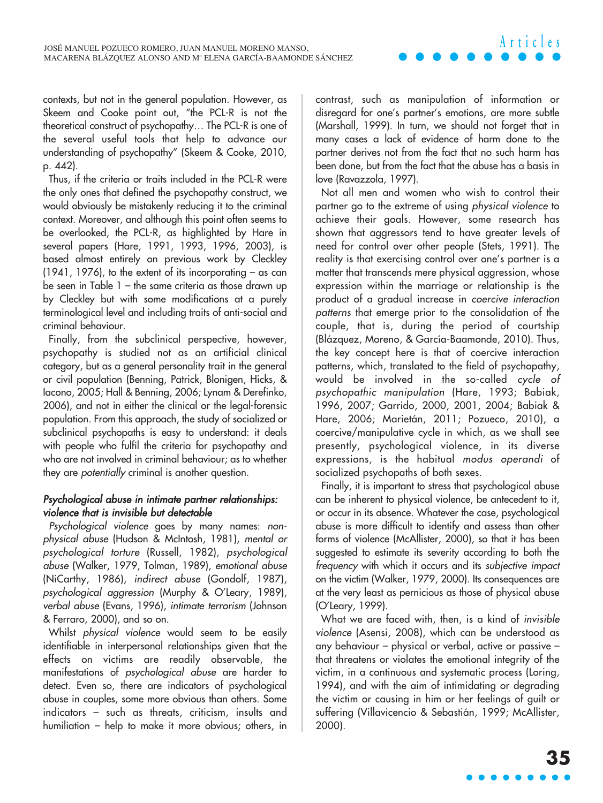contexts, but not in the general population. However, as Skeem and Cooke point out, "the PCL-R is not the theoretical construct of psychopathy… The PCL-R is one of the several useful tools that help to advance our understanding of psychopathy" (Skeem & Cooke, 2010, p. 442).

Thus, if the criteria or traits included in the PCL-R were the only ones that defined the psychopathy construct, we would obviously be mistakenly reducing it to the criminal context. Moreover, and although this point often seems to be overlooked, the PCL-R, as highlighted by Hare in several papers (Hare, 1991, 1993, 1996, 2003), is based almost entirely on previous work by Cleckley  $(1941, 1976)$ , to the extent of its incorporating – as can be seen in Table 1 – the same criteria as those drawn up by Cleckley but with some modifications at a purely terminological level and including traits of anti-social and criminal behaviour.

Finally, from the subclinical perspective, however, psychopathy is studied not as an artificial clinical category, but as a general personality trait in the general or civil population (Benning, Patrick, Blonigen, Hicks, & Iacono, 2005; Hall & Benning, 2006; Lynam & Derefinko, 2006), and not in either the clinical or the legal-forensic population. From this approach, the study of socialized or subclinical psychopaths is easy to understand: it deals with people who fulfil the criteria for psychopathy and who are not involved in criminal behaviour; as to whether they are potentially criminal is another question.

### Psychological abuse in intimate partner relationships: violence that is invisible but detectable

Psychological violence goes by many names: non<sup>p</sup>hysical abuse (Hudson & McIntosh, 1981), mental or psychological torture (Russell, 1982), psychological abuse (Walker, 1979, Tolman, 1989), emotional abuse (NiCarthy, 1986), indirect abuse (Gondolf, 1987), psychological aggression (Murphy & O'Leary, 1989), verbal abuse (Evans, 1996), intimate terrorism (Johnson & Ferraro, 2000), and so on.

Whilst physical violence would seem to be easily identifiable in interpersonal relationships given that the effects on victims are readily observable, the manifestations of psychological abuse are harder to detect. Even so, there are indicators of psychological abuse in couples, some more obvious than others. Some indicators – such as threats, criticism, insults and humiliation – help to make it more obvious; others, in contrast, such as manipulation of information or disregard for one's partner's emotions, are more subtle (Marshall, 1999). In turn, we should not forget that in many cases a lack of evidence of harm done to the partner derives not from the fact that no such harm has been done, but from the fact that the abuse has a basis in love (Ravazzola, 1997).

**Articles**

Not all men and women who wish to control their partner go to the extreme of using physical violence to achieve their goals. However, some research has shown that aggressors tend to have greater levels of need for control over other people (Stets, 1991). The reality is that exercising control over one's partner is a matter that transcends mere physical aggression, whose expression within the marriage or relationship is the product of a gradual increase in coercive interaction patterns that emerge prior to the consolidation of the couple, that is, during the period of courtship (Blázquez, Moreno, & García-Baamonde, 2010). Thus, the key concept here is that of coercive interaction patterns, which, translated to the field of psychopathy, would be involved in the so-called cycle of psychopathic manipulation (Hare, 1993; Babiak, 1996, 2007; Garrido, 2000, 2001, 2004; Babiak & Hare, 2006; Marietán, 2011; Pozueco, 2010), a coercive/manipulative cycle in which, as we shall see presently, psychological violence, in its diverse expressions, is the habitual modus operandi of socialized psychopaths of both sexes.

Finally, it is important to stress that psychological abuse can be inherent to physical violence, be antecedent to it, or occur in its absence. Whatever the case, psychological abuse is more difficult to identify and assess than other forms of violence (McAllister, 2000), so that it has been suggested to estimate its severity according to both the frequency with which it occurs and its subjective impact on the victim (Walker, 1979, 2000). Its consequences are at the very least as pernicious as those of physical abuse (O'Leary, 1999).

What we are faced with, then, is a kind of invisible violence (Asensi, 2008), which can be understood as any behaviour – physical or verbal, active or passive – that threatens or violates the emotional integrity of the victim, in a continuous and systematic process (Loring, 1994), and with the aim of intimidating or degrading the victim or causing in him or her feelings of guilt or suffering (Villavicencio & Sebastián, 1999; McAllister, 2000).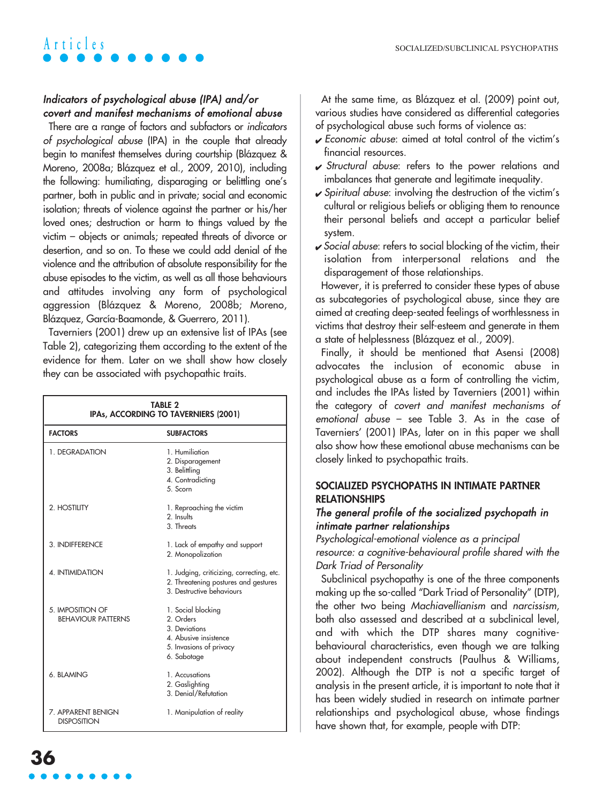### Indicators of psychological abuse (IPA) and/or covert and manifest mechanisms of emotional abuse

There are a range of factors and subfactors or indicators of psychological abuse (IPA) in the couple that already begin to manifest themselves during courtship (Blázquez & Moreno, 2008a; Blázquez et al., 2009, 2010), including the following: humiliating, disparaging or belittling one's partner, both in public and in private; social and economic isolation; threats of violence against the partner or his/her loved ones; destruction or harm to things valued by the victim – objects or animals; repeated threats of divorce or desertion, and so on. To these we could add denial of the violence and the attribution of absolute responsibility for the abuse episodes to the victim, as well as all those behaviours and attitudes involving any form of psychological aggression (Blázquez & Moreno, 2008b; Moreno, Blázquez, García-Baamonde, & Guerrero, 2011).

Taverniers (2001) drew up an extensive list of IPAs (see Table 2), categorizing them according to the extent of the evidence for them. Later on we shall show how closely they can be associated with psychopathic traits.

| <b>TABLE 2</b><br>IPAs, ACCORDING TO TAVERNIERS (2001) |                                                                                                                    |  |
|--------------------------------------------------------|--------------------------------------------------------------------------------------------------------------------|--|
| <b>FACTORS</b>                                         | <b>SUBFACTORS</b>                                                                                                  |  |
| 1. DEGRADATION                                         | 1 Humiliation<br>2. Disparagement<br>3. Belittling<br>4. Contradicting<br>5. Scorn                                 |  |
| 2. HOSTILITY                                           | 1. Reproaching the victim<br>2. Insults<br>3 Threats                                                               |  |
| 3. INDIFFERENCE                                        | 1. Lack of empathy and support<br>2. Monopolization                                                                |  |
| 4. INTIMIDATION                                        | 1. Judging, criticizing, correcting, etc.<br>2. Threatening postures and gestures<br>3 Destructive behaviours      |  |
| 5. IMPOSITION OF<br><b>BEHAVIOUR PATTERNS</b>          | 1. Social blocking<br>2 Orders<br>3. Deviations<br>4. Abusive insistence<br>5. Invasions of privacy<br>6. Sabotage |  |
| 6 BLAMING                                              | 1 Accusations<br>2. Gaslighting<br>3. Denial/Refutation                                                            |  |
| 7. APPARENT BENIGN<br><b>DISPOSITION</b>               | 1. Manipulation of reality                                                                                         |  |

At the same time, as Blázquez et al. (2009) point out, various studies have considered as differential categories of psychological abuse such forms of violence as:

- ✔ Economic abuse: aimed at total control of the victim's financial resources.
- $\checkmark$  Structural abuse: refers to the power relations and imbalances that generate and legitimate inequality.
- $\checkmark$  Spiritual abuse: involving the destruction of the victim's cultural or religious beliefs or obliging them to renounce their personal beliefs and accept a particular belief system.
- $\checkmark$  Social abuse: refers to social blocking of the victim, their isolation from interpersonal relations and the disparagement of those relationships.

However, it is preferred to consider these types of abuse as subcategories of psychological abuse, since they are aimed at creating deep-seated feelings of worthlessness in victims that destroy their self-esteem and generate in them a state of helplessness (Blázquez et al., 2009).

Finally, it should be mentioned that Asensi (2008) advocates the inclusion of economic abuse in psychological abuse as a form of controlling the victim, and includes the IPAs listed by Taverniers (2001) within the category of covert and manifest mechanisms of emotional abuse – see Table 3. As in the case of Taverniers' (2001) IPAs, later on in this paper we shall also show how these emotional abuse mechanisms can be closely linked to psychopathic traits.

#### **SOCIALIZED PSYCHOPATHS IN INTIMATE PARTNER RELATIONSHIPS**

### The general profile of the socialized psychopath in intimate partner relationships

Psychological-emotional violence as a principal resource: a cognitive-behavioural profile shared with the Dark Triad of Personality

Subclinical psychopathy is one of the three components making up the so-called "Dark Triad of Personality" (DTP), the other two being Machiavellianism and narcissism, both also assessed and described at a subclinical level, and with which the DTP shares many cognitivebehavioural characteristics, even though we are talking about independent constructs (Paulhus & Williams, 2002). Although the DTP is not a specific target of analysis in the present article, it is important to note that it has been widely studied in research on intimate partner relationships and psychological abuse, whose findings have shown that, for example, people with DTP: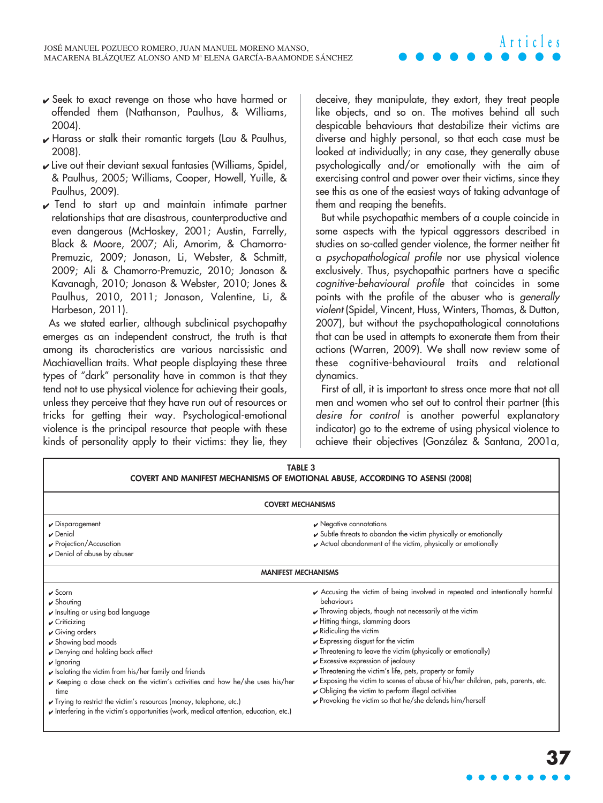- ✔ Seek to exact revenge on those who have harmed or offended them (Nathanson, Paulhus, & Williams, 2004).
- $\sqrt{\frac{1}{2}}$  Harass or stalk their romantic targets (Lau & Paulhus, 2008).
- $\boldsymbol{\nu}$  Live out their deviant sexual fantasies (Williams, Spidel, & Paulhus, 2005; Williams, Cooper, Howell, Yuille, & Paulhus, 2009).
- $\sqrt{}$  Tend to start up and maintain intimate partner relationships that are disastrous, counterproductive and even dangerous (McHoskey, 2001; Austin, Farrelly, Black & Moore, 2007; Ali, Amorim, & Chamorro-Premuzic, 2009; Jonason, Li, Webster, & Schmitt, 2009; Ali & Chamorro-Premuzic, 2010; Jonason & Kavanagh, 2010; Jonason & Webster, 2010; Jones & Paulhus, 2010, 2011; Jonason, Valentine, Li, & Harbeson, 2011).

As we stated earlier, although subclinical psychopathy emerges as an independent construct, the truth is that among its characteristics are various narcissistic and Machiavellian traits. What people displaying these three types of "dark" personality have in common is that they tend not to use physical violence for achieving their goals, unless they perceive that they have run out of resources or tricks for getting their way. Psychological-emotional violence is the principal resource that people with these kinds of personality apply to their victims: they lie, they deceive, they manipulate, they extort, they treat people like objects, and so on. The motives behind all such despicable behaviours that destabilize their victims are diverse and highly personal, so that each case must be looked at individually; in any case, they generally abuse psychologically and/or emotionally with the aim of exercising control and power over their victims, since they see this as one of the easiest ways of taking advantage of them and reaping the benefits.

But while psychopathic members of a couple coincide in some aspects with the typical aggressors described in studies on so-called gender violence, the former neither fit a psychopathological profile nor use physical violence exclusively. Thus, psychopathic partners have a specific cognitive-behavioural profile that coincides in some points with the profile of the abuser who is generally violent (Spidel, Vincent, Huss, Winters, Thomas, & Dutton, 2007), but without the psychopathological connotations that can be used in attempts to exonerate them from their actions (Warren, 2009). We shall now review some of these cognitive-behavioural traits and relational dynamics.

First of all, it is important to stress once more that not all men and women who set out to control their partner (this desire for control is another powerful explanatory indicator) go to the extreme of using physical violence to achieve their objectives (González & Santana, 2001a,

| <b>TABLE 3</b><br>COVERT AND MANIFEST MECHANISMS OF EMOTIONAL ABUSE, ACCORDING TO ASENSI (2008)                                                                                                                                                                                                                                                                                                                                                                                                                                                                                                                     |                                                                                                                                                                                                                                                                                                                                                                                                                                                                                                                                                                                                                                                                                                                                                     |  |
|---------------------------------------------------------------------------------------------------------------------------------------------------------------------------------------------------------------------------------------------------------------------------------------------------------------------------------------------------------------------------------------------------------------------------------------------------------------------------------------------------------------------------------------------------------------------------------------------------------------------|-----------------------------------------------------------------------------------------------------------------------------------------------------------------------------------------------------------------------------------------------------------------------------------------------------------------------------------------------------------------------------------------------------------------------------------------------------------------------------------------------------------------------------------------------------------------------------------------------------------------------------------------------------------------------------------------------------------------------------------------------------|--|
| <b>COVERT MECHANISMS</b>                                                                                                                                                                                                                                                                                                                                                                                                                                                                                                                                                                                            |                                                                                                                                                                                                                                                                                                                                                                                                                                                                                                                                                                                                                                                                                                                                                     |  |
| $\sqrt{\frac{1}{2}}$ Disparagement<br>$\boldsymbol{\nu}$ Denial<br>$\sqrt{\frac{P}{Q}}$ Projection/Accusation<br>✔ Denial of abuse by abuser                                                                                                                                                                                                                                                                                                                                                                                                                                                                        | $\sqrt{\ }$ Negative connotations<br>Subtle threats to abandon the victim physically or emotionally<br>Actual abandonment of the victim, physically or emotionally                                                                                                                                                                                                                                                                                                                                                                                                                                                                                                                                                                                  |  |
| <b>MANIFEST MECHANISMS</b>                                                                                                                                                                                                                                                                                                                                                                                                                                                                                                                                                                                          |                                                                                                                                                                                                                                                                                                                                                                                                                                                                                                                                                                                                                                                                                                                                                     |  |
| $\boldsymbol{\nu}$ Scorn<br>$\triangleright$ Shouting<br>Insulting or using bad language<br>$\sqrt{C}$ riticizing<br>$\sqrt{\frac{1}{2}}$ Giving orders<br>$\triangleright$ Showing bad moods<br>► Denying and holding back affect<br>$\vee$ Ignoring<br>$\blacktriangleright$ Isolating the victim from his/her family and friends<br>► Keeping a close check on the victim's activities and how he/she uses his/her<br>time<br>✔ Trying to restrict the victim's resources (money, telephone, etc.)<br>$\blacktriangleright$ Interfering in the victim's opportunities (work, medical attention, education, etc.) | Accusing the victim of being involved in repeated and intentionally harmful<br>behaviours<br>$\sqrt{\ }$ Throwing objects, though not necessarily at the victim<br>$\blacktriangleright$ Hitting things, slamming doors<br>$\mathbf{\times}$ Ridiculing the victim<br>$\mathbf y$ Expressing disgust for the victim<br>$\sqrt{\ }$ Threatening to leave the victim (physically or emotionally)<br>$\sqrt{\frac{1}{2}}$ Excessive expression of jealousy<br>$\checkmark$ Threatening the victim's life, pets, property or family<br>Exposing the victim to scenes of abuse of his/her children, pets, parents, etc.<br>$\triangleright$ Obliging the victim to perform illegal activities<br>Provoking the victim so that he/she defends him/herself |  |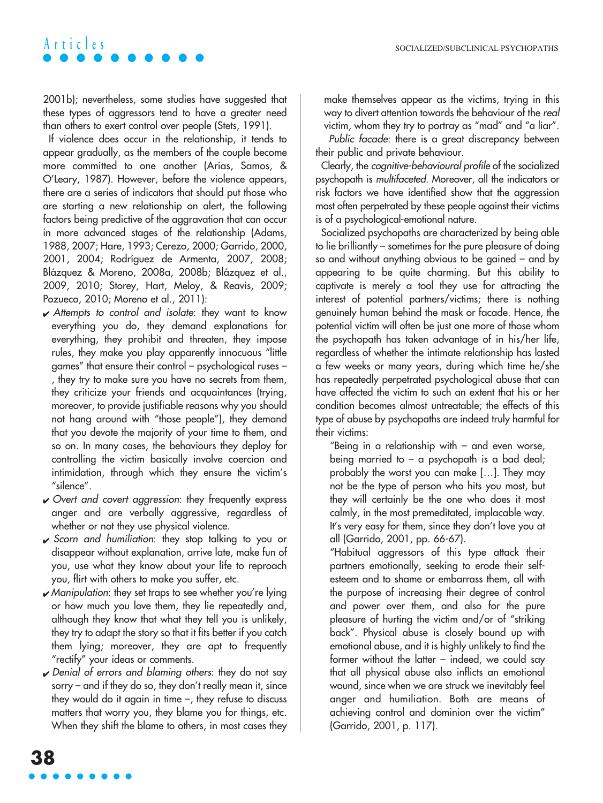2001b); nevertheless, some studies have suggested that these types of aggressors tend to have a greater need than others to exert control over people (Stets, 1991).

If violence does occur in the relationship, it tends to appear gradually, as the members of the couple become more committed to one another (Arias, Samos, & O'Leary, 1987). However, before the violence appears, there are a series of indicators that should put those who are starting a new relationship on alert, the following factors being predictive of the aggravation that can occur in more advanced stages of the relationship (Adams, 1988, 2007; Hare, 1993; Cerezo, 2000; Garrido, 2000, 2001, 2004; Rodríguez de Armenta, 2007, 2008; Blázquez & Moreno, 2008a, 2008b; Blázquez et al., 2009, 2010; Storey, Hart, Meloy, & Reavis, 2009; Pozueco, 2010; Moreno et al., 2011):

- $\boldsymbol{\nu}$  Attempts to control and isolate: they want to know everything you do, they demand explanations for everything, they prohibit and threaten, they impose rules, they make you play apparently innocuous "little games" that ensure their control – psychological ruses – , they try to make sure you have no secrets from them, they criticize your friends and acquaintances (trying, moreover, to provide justifiable reasons why you should not hang around with "those people"), they demand that you devote the majority of your time to them, and so on. In many cases, the behaviours they deploy for controlling the victim basically involve coercion and intimidation, through which they ensure the victim's "silence".
- $\vee$  Overt and covert aggression: they frequently express anger and are verbally aggressive, regardless of whether or not they use physical violence.
- $\sqrt{\ }$  Scorn and humiliation: they stop talking to you or disappear without explanation, arrive late, make fun of you, use what they know about your life to reproach you, flirt with others to make you suffer, etc.
- ✔ Manipulation: they set traps to see whether you're lying or how much you love them, they lie repeatedly and, although they know that what they tell you is unlikely, they try to adapt the story so that it fits better if you catch them lying; moreover, they are apt to frequently "rectify" your ideas or comments.
- $\sqrt{\frac{1}{100}}$  Denial of errors and blaming others: they do not say sorry – and if they do so, they don't really mean it, since they would do it again in time  $-$ , they refuse to discuss matters that worry you, they blame you for things, etc. When they shift the blame to others, in most cases they

make themselves appear as the victims, trying in this way to divert attention towards the behaviour of the real victim, whom they try to portray as "mad" and "a liar".

Public facade: there is a great discrepancy between their public and private behaviour.

Clearly, the cognitive-behavioural profile of the socialized psychopath is multifaceted. Moreover, all the indicators or risk factors we have identified show that the aggression most often perpetrated by these people against their victims is of a psychological-emotional nature.

Socialized psychopaths are characterized by being able to lie brilliantly – sometimes for the pure pleasure of doing so and without anything obvious to be gained – and by appearing to be quite charming. But this ability to captivate is merely a tool they use for attracting the interest of potential partners/victims; there is nothing genuinely human behind the mask or facade. Hence, the potential victim will often be just one more of those whom the psychopath has taken advantage of in his/her life, regardless of whether the intimate relationship has lasted a few weeks or many years, during which time he/she has repeatedly perpetrated psychological abuse that can have affected the victim to such an extent that his or her condition becomes almost untreatable; the effects of this type of abuse by psychopaths are indeed truly harmful for their victims:

"Being in a relationship with – and even worse, being married to  $-$  a psychopath is a bad deal; probably the worst you can make […]. They may not be the type of person who hits you most, but they will certainly be the one who does it most calmly, in the most premeditated, implacable way. It's very easy for them, since they don't love you at all (Garrido, 2001, pp. 66-67).

"Habitual aggressors of this type attack their partners emotionally, seeking to erode their selfesteem and to shame or embarrass them, all with the purpose of increasing their degree of control and power over them, and also for the pure pleasure of hurting the victim and/or of "striking back". Physical abuse is closely bound up with emotional abuse, and it is highly unlikely to find the former without the latter – indeed, we could say that all physical abuse also inflicts an emotional wound, since when we are struck we inevitably feel anger and humiliation. Both are means of achieving control and dominion over the victim" (Garrido, 2001, p. 117).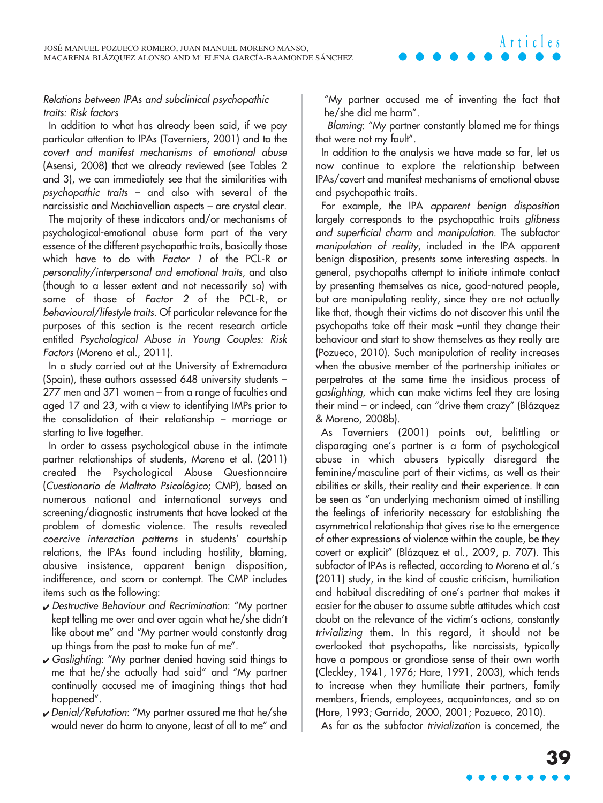#### Relations between IPAs and subclinical psychopathic traits: Risk factors

In addition to what has already been said, if we pay particular attention to IPAs (Taverniers, 2001) and to the covert and manifest mechanisms of emotional abuse (Asensi, 2008) that we already reviewed (see Tables 2 and 3), we can immediately see that the similarities with psychopathic traits – and also with several of the narcissistic and Machiavellian aspects – are crystal clear.

The majority of these indicators and/or mechanisms of psychological-emotional abuse form part of the very essence of the different psychopathic traits, basically those which have to do with Factor 1 of the PCL-R or personality/interpersonal and emotional traits, and also (though to a lesser extent and not necessarily so) with some of those of Factor 2 of the PCL-R, or behavioural/lifestyle traits. Of particular relevance for the purposes of this section is the recent research article entitled Psychological Abuse in Young Couples: Risk Factors (Moreno et al., 2011).

In a study carried out at the University of Extremadura (Spain), these authors assessed 648 university students – 277 men and 371 women – from a range of faculties and aged 17 and 23, with a view to identifying IMPs prior to the consolidation of their relationship – marriage or starting to live together.

In order to assess psychological abuse in the intimate partner relationships of students, Moreno et al. (2011) created the Psychological Abuse Questionnaire (Cuestionario de Maltrato Psicológico; CMP), based on numerous national and international surveys and screening/diagnostic instruments that have looked at the problem of domestic violence. The results revealed coercive interaction patterns in students' courtship relations, the IPAs found including hostility, blaming, abusive insistence, apparent benign disposition, indifference, and scorn or contempt. The CMP includes items such as the following:

- ✔ Destructive Behaviour and Recrimination: "My partner kept telling me over and over again what he/she didn't like about me" and "My partner would constantly drag up things from the past to make fun of me".
- $\sqrt{\frac{1}{100}}$  Gaslighting: "My partner denied having said things to me that he/she actually had said" and "My partner continually accused me of imagining things that had happened".
- ✔ Denial/Refutation: "My partner assured me that he/she would never do harm to anyone, least of all to me" and

"My partner accused me of inventing the fact that he/she did me harm".

**Articles**

Blaming: "My partner constantly blamed me for things that were not my fault".

In addition to the analysis we have made so far, let us now continue to explore the relationship between IPAs/covert and manifest mechanisms of emotional abuse and psychopathic traits.

For example, the IPA apparent benign disposition largely corresponds to the psychopathic traits glibness and superficial charm and manipulation. The subfactor manipulation of reality, included in the IPA apparent benign disposition, presents some interesting aspects. In general, psychopaths attempt to initiate intimate contact by presenting themselves as nice, good-natured people, but are manipulating reality, since they are not actually like that, though their victims do not discover this until the psychopaths take off their mask –until they change their behaviour and start to show themselves as they really are (Pozueco, 2010). Such manipulation of reality increases when the abusive member of the partnership initiates or perpetrates at the same time the insidious process of gaslighting, which can make victims feel they are losing their mind – or indeed, can "drive them crazy" (Blázquez & Moreno, 2008b).

As Taverniers (2001) points out, belittling or disparaging one's partner is a form of psychological abuse in which abusers typically disregard the feminine/masculine part of their victims, as well as their abilities or skills, their reality and their experience. It can be seen as "an underlying mechanism aimed at instilling the feelings of inferiority necessary for establishing the asymmetrical relationship that gives rise to the emergence of other expressions of violence within the couple, be they covert or explicit" (Blázquez et al., 2009, p. 707). This subfactor of IPAs is reflected, according to Moreno et al.'s (2011) study, in the kind of caustic criticism, humiliation and habitual discrediting of one's partner that makes it easier for the abuser to assume subtle attitudes which cast doubt on the relevance of the victim's actions, constantly trivializing them. In this regard, it should not be overlooked that psychopaths, like narcissists, typically have a pompous or grandiose sense of their own worth (Cleckley, 1941, 1976; Hare, 1991, 2003), which tends to increase when they humiliate their partners, family members, friends, employees, acquaintances, and so on (Hare, 1993; Garrido, 2000, 2001; Pozueco, 2010).

As far as the subfactor trivialization is concerned, the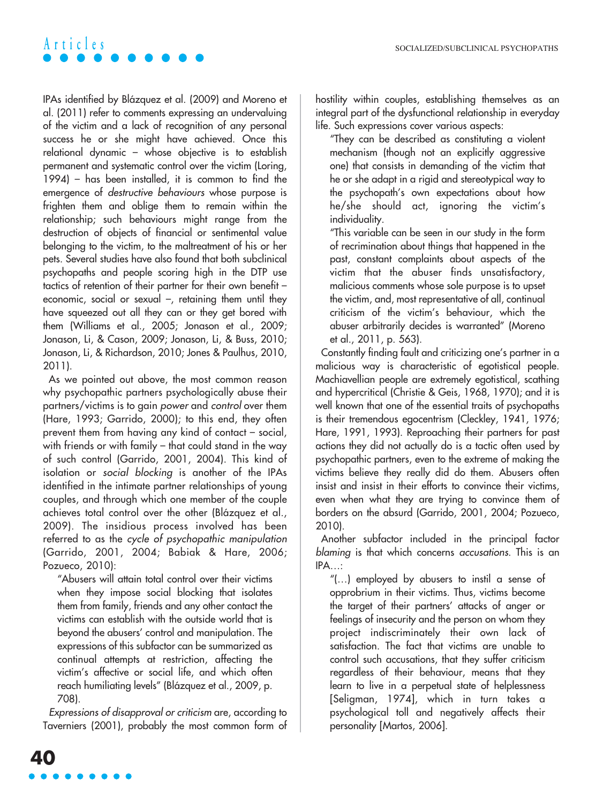IPAs identified by Blázquez et al. (2009) and Moreno et al. (2011) refer to comments expressing an undervaluing of the victim and a lack of recognition of any personal success he or she might have achieved. Once this relational dynamic – whose objective is to establish permanent and systematic control over the victim (Loring, 1994) – has been installed, it is common to find the emergence of destructive behaviours whose purpose is frighten them and oblige them to remain within the relationship; such behaviours might range from the destruction of objects of financial or sentimental value belonging to the victim, to the maltreatment of his or her pets. Several studies have also found that both subclinical psychopaths and people scoring high in the DTP use tactics of retention of their partner for their own benefit – economic, social or sexual –, retaining them until they have squeezed out all they can or they get bored with them (Williams et al., 2005; Jonason et al., 2009; Jonason, Li, & Cason, 2009; Jonason, Li, & Buss, 2010; Jonason, Li, & Richardson, 2010; Jones & Paulhus, 2010, 2011).

As we pointed out above, the most common reason why psychopathic partners psychologically abuse their partners/victims is to gain power and control over them (Hare, 1993; Garrido, 2000); to this end, they often prevent them from having any kind of contact – social, with friends or with family – that could stand in the way of such control (Garrido, 2001, 2004). This kind of isolation or social blocking is another of the IPAs identified in the intimate partner relationships of young couples, and through which one member of the couple achieves total control over the other (Blázquez et al., 2009). The insidious process involved has been referred to as the cycle of psychopathic manipulation (Garrido, 2001, 2004; Babiak & Hare, 2006; Pozueco, 2010):

"Abusers will attain total control over their victims when they impose social blocking that isolates them from family, friends and any other contact the victims can establish with the outside world that is beyond the abusers' control and manipulation. The expressions of this subfactor can be summarized as continual attempts at restriction, affecting the victim's affective or social life, and which often reach humiliating levels" (Blázquez et al., 2009, p. 708).

Expressions of disapproval or criticism are, according to Taverniers (2001), probably the most common form of hostility within couples, establishing themselves as an integral part of the dysfunctional relationship in everyday life. Such expressions cover various aspects:

"They can be described as constituting a violent mechanism (though not an explicitly aggressive one) that consists in demanding of the victim that he or she adapt in a rigid and stereotypical way to the psychopath's own expectations about how he/she should act, ignoring the victim's individuality.

"This variable can be seen in our study in the form of recrimination about things that happened in the past, constant complaints about aspects of the victim that the abuser finds unsatisfactory, malicious comments whose sole purpose is to upset the victim, and, most representative of all, continual criticism of the victim's behaviour, which the abuser arbitrarily decides is warranted" (Moreno et al., 2011, p. 563).

Constantly finding fault and criticizing one's partner in a malicious way is characteristic of egotistical people. Machiavellian people are extremely egotistical, scathing and hypercritical (Christie & Geis, 1968, 1970); and it is well known that one of the essential traits of psychopaths is their tremendous egocentrism (Cleckley, 1941, 1976; Hare, 1991, 1993). Reproaching their partners for past actions they did not actually do is a tactic often used by psychopathic partners, even to the extreme of making the victims believe they really did do them. Abusers often insist and insist in their efforts to convince their victims, even when what they are trying to convince them of borders on the absurd (Garrido, 2001, 2004; Pozueco, 2010).

Another subfactor included in the principal factor blaming is that which concerns accusations. This is an IPA…:

"(…) employed by abusers to instil a sense of opprobrium in their victims. Thus, victims become the target of their partners' attacks of anger or feelings of insecurity and the person on whom they project indiscriminately their own lack of satisfaction. The fact that victims are unable to control such accusations, that they suffer criticism regardless of their behaviour, means that they learn to live in a perpetual state of helplessness [Seligman, 1974], which in turn takes a psychological toll and negatively affects their personality [Martos, 2006].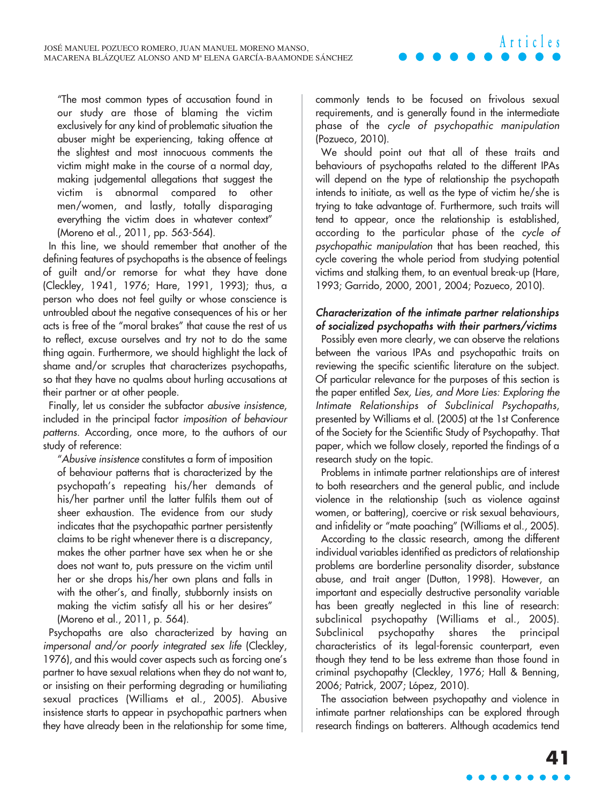"The most common types of accusation found in our study are those of blaming the victim exclusively for any kind of problematic situation the abuser might be experiencing, taking offence at the slightest and most innocuous comments the victim might make in the course of a normal day, making judgemental allegations that suggest the victim is abnormal compared to other men/women, and lastly, totally disparaging everything the victim does in whatever context" (Moreno et al., 2011, pp. 563-564).

In this line, we should remember that another of the defining features of psychopaths is the absence of feelings of guilt and/or remorse for what they have done (Cleckley, 1941, 1976; Hare, 1991, 1993); thus, a person who does not feel guilty or whose conscience is untroubled about the negative consequences of his or her acts is free of the "moral brakes" that cause the rest of us to reflect, excuse ourselves and try not to do the same thing again. Furthermore, we should highlight the lack of shame and/or scruples that characterizes psychopaths, so that they have no qualms about hurling accusations at their partner or at other people.

Finally, let us consider the subfactor abusive insistence, included in the principal factor imposition of behaviour patterns. According, once more, to the authors of our study of reference:

"Abusive insistence constitutes a form of imposition of behaviour patterns that is characterized by the psychopath's repeating his/her demands of his/her partner until the latter fulfils them out of sheer exhaustion. The evidence from our study indicates that the psychopathic partner persistently claims to be right whenever there is a discrepancy, makes the other partner have sex when he or she does not want to, puts pressure on the victim until her or she drops his/her own plans and falls in with the other's, and finally, stubbornly insists on making the victim satisfy all his or her desires" (Moreno et al., 2011, p. 564).

Psychopaths are also characterized by having an impersonal and/or poorly integrated sex life (Cleckley, 1976), and this would cover aspects such as forcing one's partner to have sexual relations when they do not want to, or insisting on their performing degrading or humiliating sexual practices (Williams et al., 2005). Abusive insistence starts to appear in psychopathic partners when they have already been in the relationship for some time, commonly tends to be focused on frivolous sexual requirements, and is generally found in the intermediate phase of the cycle of psychopathic manipulation (Pozueco, 2010).

**Articles**

We should point out that all of these traits and behaviours of psychopaths related to the different IPAs will depend on the type of relationship the psychopath intends to initiate, as well as the type of victim he/she is trying to take advantage of. Furthermore, such traits will tend to appear, once the relationship is established, according to the particular phase of the cycle of psychopathic manipulation that has been reached, this cycle covering the whole period from studying potential victims and stalking them, to an eventual break-up (Hare, 1993; Garrido, 2000, 2001, 2004; Pozueco, 2010).

### Characterization of the intimate partner relationships of socialized psychopaths with their partners/victims

Possibly even more clearly, we can observe the relations between the various IPAs and psychopathic traits on reviewing the specific scientific literature on the subject. Of particular relevance for the purposes of this section is the paper entitled Sex, Lies, and More Lies: Exploring the Intimate Relationships of Subclinical Psychopaths, presented by Williams et al. (2005) at the 1st Conference of the Society for the Scientific Study of Psychopathy. That paper, which we follow closely, reported the findings of a research study on the topic.

Problems in intimate partner relationships are of interest to both researchers and the general public, and include violence in the relationship (such as violence against women, or battering), coercive or risk sexual behaviours, and infidelity or "mate poaching" (Williams et al., 2005).

According to the classic research, among the different individual variables identified as predictors of relationship problems are borderline personality disorder, substance abuse, and trait anger (Dutton, 1998). However, an important and especially destructive personality variable has been greatly neglected in this line of research: subclinical psychopathy (Williams et al., 2005). Subclinical psychopathy shares the principal characteristics of its legal-forensic counterpart, even though they tend to be less extreme than those found in criminal psychopathy (Cleckley, 1976; Hall & Benning, 2006; Patrick, 2007; López, 2010).

The association between psychopathy and violence in intimate partner relationships can be explored through research findings on batterers. Although academics tend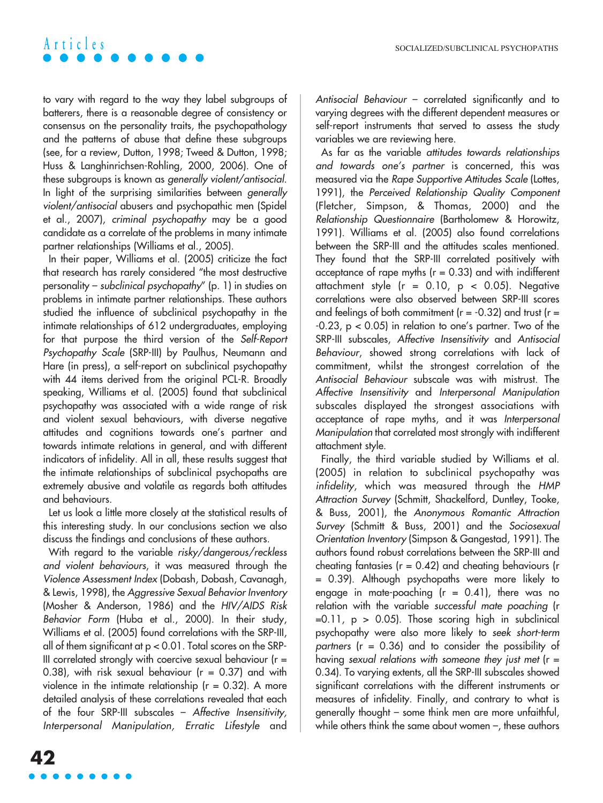to vary with regard to the way they label subgroups of batterers, there is a reasonable degree of consistency or consensus on the personality traits, the psychopathology and the patterns of abuse that define these subgroups (see, for a review, Dutton, 1998; Tweed & Dutton, 1998; Huss & Langhinrichsen-Rohling, 2000, 2006). One of these subgroups is known as generally violent/antisocial. In light of the surprising similarities between generally violent/antisocial abusers and psychopathic men (Spidel et al., 2007), criminal psychopathy may be a good candidate as a correlate of the problems in many intimate partner relationships (Williams et al., 2005).

In their paper, Williams et al. (2005) criticize the fact that research has rarely considered "the most destructive personality – subclinical psychopathy" (p. 1) in studies on problems in intimate partner relationships. These authors studied the influence of subclinical psychopathy in the intimate relationships of 612 undergraduates, employing for that purpose the third version of the Self-Report Psychopathy Scale (SRP-III) by Paulhus, Neumann and Hare (in press), a self-report on subclinical psychopathy with 44 items derived from the original PCL-R. Broadly speaking, Williams et al. (2005) found that subclinical psychopathy was associated with a wide range of risk and violent sexual behaviours, with diverse negative attitudes and cognitions towards one's partner and towards intimate relations in general, and with different indicators of infidelity. All in all, these results suggest that the intimate relationships of subclinical psychopaths are extremely abusive and volatile as regards both attitudes and behaviours.

Let us look a little more closely at the statistical results of this interesting study. In our conclusions section we also discuss the findings and conclusions of these authors.

With regard to the variable risky/dangerous/reckless and violent behaviours, it was measured through the Violence Assessment Index (Dobash, Dobash, Cavanagh, & Lewis, 1998), the Aggressive Sexual Behavior Inventory (Mosher & Anderson, 1986) and the HIV/AIDS Risk Behavior Form (Huba et al., 2000). In their study, Williams et al. (2005) found correlations with the SRP-III, all of them significant at  $p < 0.01$ . Total scores on the SRP-III correlated strongly with coercive sexual behaviour ( $r =$ 0.38), with risk sexual behaviour (r = 0.37) and with violence in the intimate relationship ( $r = 0.32$ ). A more detailed analysis of these correlations revealed that each of the four SRP-III subscales – Affective Insensitivity, Interpersonal Manipulation, Erratic Lifestyle and Antisocial Behaviour – correlated significantly and to varying degrees with the different dependent measures or self-report instruments that served to assess the study variables we are reviewing here.

As far as the variable attitudes towards relationships and towards one's partner is concerned, this was measured via the Rape Supportive Attitudes Scale (Lottes, 1991), the Perceived Relationship Quality Component (Fletcher, Simpson, & Thomas, 2000) and the Relationship Questionnaire (Bartholomew & Horowitz, 1991). Williams et al. (2005) also found correlations between the SRP-III and the attitudes scales mentioned. They found that the SRP-III correlated positively with acceptance of rape myths ( $r = 0.33$ ) and with indifferent attachment style ( $r = 0.10$ ,  $p < 0.05$ ). Negative correlations were also observed between SRP-III scores and feelings of both commitment ( $r = -0.32$ ) and trust ( $r =$  $-0.23$ ,  $p < 0.05$ ) in relation to one's partner. Two of the SRP-III subscales, Affective Insensitivity and Antisocial Behaviour, showed strong correlations with lack of commitment, whilst the strongest correlation of the Antisocial Behaviour subscale was with mistrust. The Affective Insensitivity and Interpersonal Manipulation subscales displayed the strongest associations with acceptance of rape myths, and it was Interpersonal Manipulation that correlated most strongly with indifferent attachment style.

Finally, the third variable studied by Williams et al. (2005) in relation to subclinical psychopathy was infidelity, which was measured through the HMP Attraction Survey (Schmitt, Shackelford, Duntley, Tooke, & Buss, 2001), the Anonymous Romantic Attraction Survey (Schmitt & Buss, 2001) and the Sociosexual Orientation Inventory (Simpson & Gangestad, 1991). The authors found robust correlations between the SRP-III and cheating fantasies ( $r = 0.42$ ) and cheating behaviours (r = 0.39). Although psychopaths were more likely to engage in mate-poaching  $(r = 0.41)$ , there was no relation with the variable successful mate poaching (r  $=0.11$ ,  $p > 0.05$ ). Those scoring high in subclinical psychopathy were also more likely to seek short-term partners ( $r = 0.36$ ) and to consider the possibility of having sexual relations with someone they just met  $(r =$ 0.34). To varying extents, all the SRP-III subscales showed significant correlations with the different instruments or measures of infidelity. Finally, and contrary to what is generally thought – some think men are more unfaithful, while others think the same about women –, these authors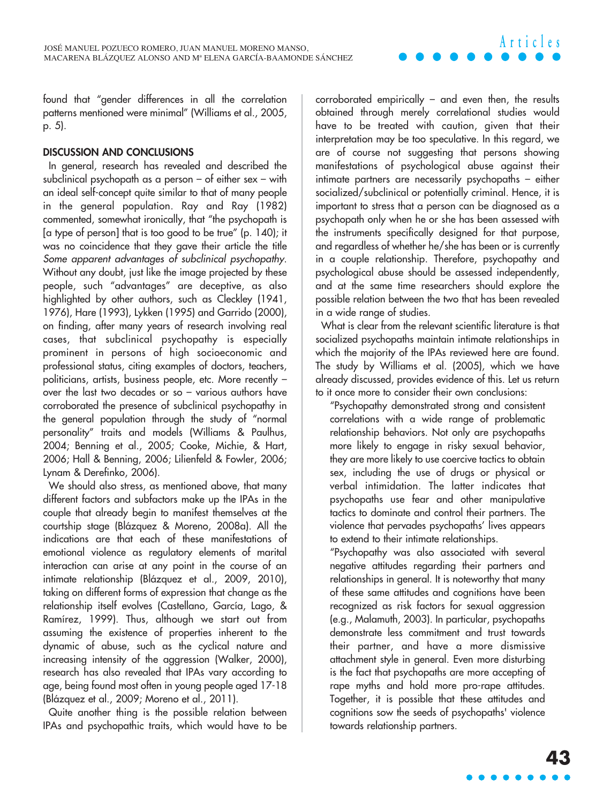found that "gender differences in all the correlation patterns mentioned were minimal" (Williams et al., 2005, p. 5).

#### **DISCUSSION AND CONCLUSIONS**

In general, research has revealed and described the subclinical psychopath as a person – of either sex – with an ideal self-concept quite similar to that of many people in the general population. Ray and Ray (1982) commented, somewhat ironically, that "the psychopath is [a type of person] that is too good to be true" (p. 140); it was no coincidence that they gave their article the title Some apparent advantages of subclinical psychopathy. Without any doubt, just like the image projected by these people, such "advantages" are deceptive, as also highlighted by other authors, such as Cleckley (1941, 1976), Hare (1993), Lykken (1995) and Garrido (2000), on finding, after many years of research involving real cases, that subclinical psychopathy is especially prominent in persons of high socioeconomic and professional status, citing examples of doctors, teachers, politicians, artists, business people, etc. More recently – over the last two decades or so – various authors have corroborated the presence of subclinical psychopathy in the general population through the study of "normal personality" traits and models (Williams & Paulhus, 2004; Benning et al., 2005; Cooke, Michie, & Hart, 2006; Hall & Benning, 2006; Lilienfeld & Fowler, 2006; Lynam & Derefinko, 2006).

We should also stress, as mentioned above, that many different factors and subfactors make up the IPAs in the couple that already begin to manifest themselves at the courtship stage (Blázquez & Moreno, 2008a). All the indications are that each of these manifestations of emotional violence as regulatory elements of marital interaction can arise at any point in the course of an intimate relationship (Blázquez et al., 2009, 2010), taking on different forms of expression that change as the relationship itself evolves (Castellano, García, Lago, & Ramírez, 1999). Thus, although we start out from assuming the existence of properties inherent to the dynamic of abuse, such as the cyclical nature and increasing intensity of the aggression (Walker, 2000), research has also revealed that IPAs vary according to age, being found most often in young people aged 17-18 (Blázquez et al., 2009; Moreno et al., 2011).

Quite another thing is the possible relation between IPAs and psychopathic traits, which would have to be corroborated empirically – and even then, the results obtained through merely correlational studies would have to be treated with caution, given that their interpretation may be too speculative. In this regard, we are of course not suggesting that persons showing manifestations of psychological abuse against their intimate partners are necessarily psychopaths – either socialized/subclinical or potentially criminal. Hence, it is important to stress that a person can be diagnosed as a psychopath only when he or she has been assessed with the instruments specifically designed for that purpose, and regardless of whether he/she has been or is currently in a couple relationship. Therefore, psychopathy and psychological abuse should be assessed independently, and at the same time researchers should explore the possible relation between the two that has been revealed in a wide range of studies.

What is clear from the relevant scientific literature is that socialized psychopaths maintain intimate relationships in which the majority of the IPAs reviewed here are found. The study by Williams et al. (2005), which we have already discussed, provides evidence of this. Let us return to it once more to consider their own conclusions:

"Psychopathy demonstrated strong and consistent correlations with a wide range of problematic relationship behaviors. Not only are psychopaths more likely to engage in risky sexual behavior, they are more likely to use coercive tactics to obtain sex, including the use of drugs or physical or verbal intimidation. The latter indicates that psychopaths use fear and other manipulative tactics to dominate and control their partners. The violence that pervades psychopaths' lives appears to extend to their intimate relationships.

"Psychopathy was also associated with several negative attitudes regarding their partners and relationships in general. It is noteworthy that many of these same attitudes and cognitions have been recognized as risk factors for sexual aggression (e.g., Malamuth, 2003). In particular, psychopaths demonstrate less commitment and trust towards their partner, and have a more dismissive attachment style in general. Even more disturbing is the fact that psychopaths are more accepting of rape myths and hold more pro-rape attitudes. Together, it is possible that these attitudes and cognitions sow the seeds of psychopaths' violence towards relationship partners.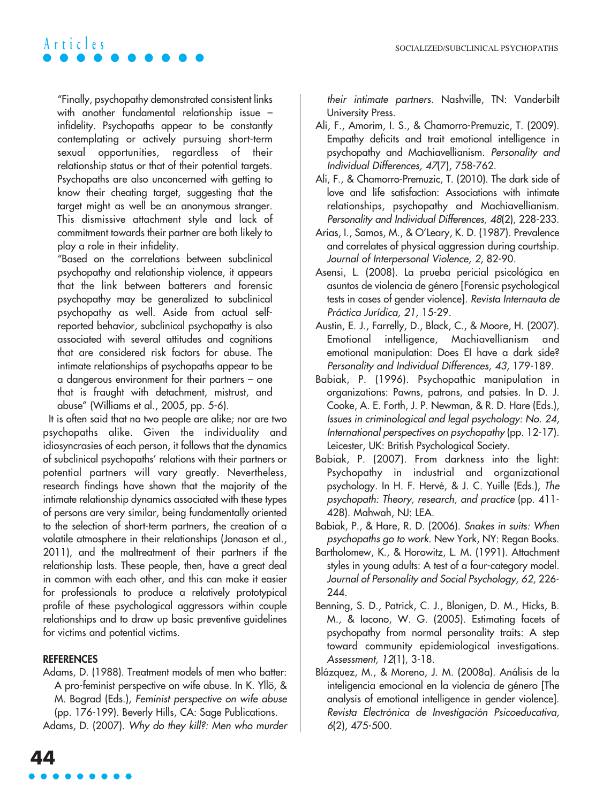"Finally, psychopathy demonstrated consistent links with another fundamental relationship issue – infidelity. Psychopaths appear to be constantly contemplating or actively pursuing short-term sexual opportunities, regardless of their relationship status or that of their potential targets. Psychopaths are also unconcerned with getting to know their cheating target, suggesting that the target might as well be an anonymous stranger. This dismissive attachment style and lack of commitment towards their partner are both likely to play a role in their infidelity.

"Based on the correlations between subclinical psychopathy and relationship violence, it appears that the link between batterers and forensic psychopathy may be generalized to subclinical psychopathy as well. Aside from actual selfreported behavior, subclinical psychopathy is also associated with several attitudes and cognitions that are considered risk factors for abuse. The intimate relationships of psychopaths appear to be a dangerous environment for their partners – one that is fraught with detachment, mistrust, and abuse" (Williams et al., 2005, pp. 5-6).

It is often said that no two people are alike; nor are two psychopaths alike. Given the individuality and idiosyncrasies of each person, it follows that the dynamics of subclinical psychopaths' relations with their partners or potential partners will vary greatly. Nevertheless, research findings have shown that the majority of the intimate relationship dynamics associated with these types of persons are very similar, being fundamentally oriented to the selection of short-term partners, the creation of a volatile atmosphere in their relationships (Jonason et al., 2011), and the maltreatment of their partners if the relationship lasts. These people, then, have a great deal in common with each other, and this can make it easier for professionals to produce a relatively prototypical profile of these psychological aggressors within couple relationships and to draw up basic preventive guidelines for victims and potential victims.

#### **REFERENCES**

Adams, D. (1988). Treatment models of men who batter: A pro-feminist perspective on wife abuse. In K. Yllö, & M. Bograd (Eds.), Feminist perspective on wife abuse (pp. 176-199). Beverly Hills, CA: Sage Publications.

Adams, D. (2007). Why do they kill?: Men who murder

their intimate partners. Nashville, TN: Vanderbilt University Press.

- Ali, F., Amorim, I. S., & Chamorro-Premuzic, T. (2009). Empathy deficits and trait emotional intelligence in psychopathy and Machiavellianism. Personality and Individual Differences, 47(7), 758-762.
- Ali, F., & Chamorro-Premuzic, T. (2010). The dark side of love and life satisfaction: Associations with intimate relationships, psychopathy and Machiavellianism. Personality and Individual Differences, 48(2), 228-233.
- Arias, I., Samos, M., & O'Leary, K. D. (1987). Prevalence and correlates of physical aggression during courtship. Journal of Interpersonal Violence, 2, 82-90.
- Asensi, L. (2008). La prueba pericial psicológica en asuntos de violencia de género [Forensic psychological tests in cases of gender violence]. Revista Internauta de Práctica Jurídica, 21, 15-29.
- Austin, E. J., Farrelly, D., Black, C., & Moore, H. (2007). Emotional intelligence, Machiavellianism and emotional manipulation: Does EI have a dark side? Personality and Individual Differences, 43, 179-189.
- Babiak, P. (1996). Psychopathic manipulation in organizations: Pawns, patrons, and patsies. In D. J. Cooke, A. E. Forth, J. P. Newman, & R. D. Hare (Eds.), Issues in criminological and legal psychology: No. 24, International perspectives on psychopathy (pp. 12-17). Leicester, UK: British Psychological Society.
- Babiak, P. (2007). From darkness into the light: Psychopathy in industrial and organizational psychology. In H. F. Hervé, & J. C. Yuille (Eds.), The psychopath: Theory, research, and practice (pp. 411- 428). Mahwah, NJ: LEA.
- Babiak, P., & Hare, R. D. (2006). Snakes in suits: When psychopaths go to work. New York, NY: Regan Books.
- Bartholomew, K., & Horowitz, L. M. (1991). Attachment styles in young adults: A test of a four-category model. Journal of Personality and Social Psychology, 62, 226- 244.
- Benning, S. D., Patrick, C. J., Blonigen, D. M., Hicks, B. M., & Iacono, W. G. (2005). Estimating facets of psychopathy from normal personality traits: A step toward community epidemiological investigations. Assessment, 12(1), 3-18.
- Blázquez, M., & Moreno, J. M. (2008a). Análisis de la inteligencia emocional en la violencia de género [The analysis of emotional intelligence in gender violence]. Revista Electrónica de Investigación Psicoeducativa, 6(2), 475-500.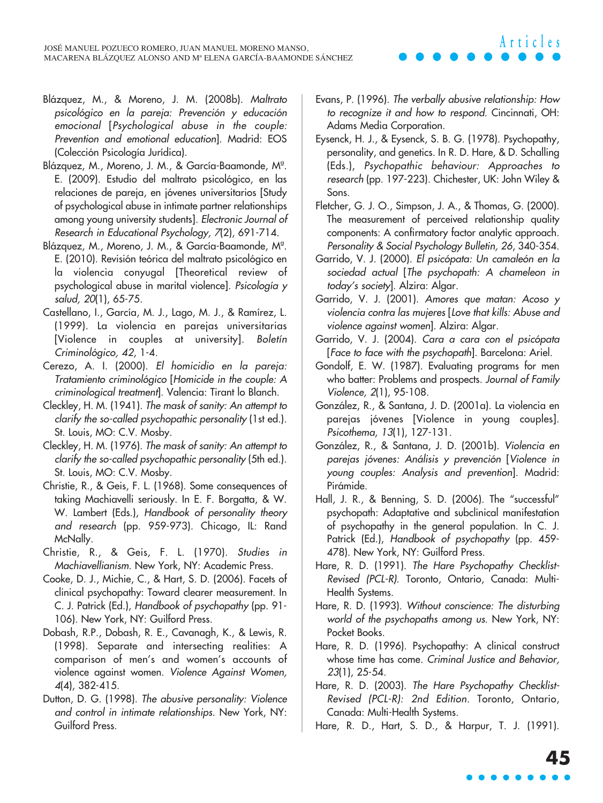- Blázquez, M., & Moreno, J. M. (2008b). Maltrato psicológico en la pareja: Prevención y educación emocional [Psychological abuse in the couple: Prevention and emotional education]. Madrid: EOS (Colección Psicología Jurídica).
- Blázquez, M., Moreno, J. M., & García-Baamonde, Mª. E. (2009). Estudio del maltrato psicológico, en las relaciones de pareja, en jóvenes universitarios [Study of psychological abuse in intimate partner relationships among young university students]. Electronic Journal of Research in Educational Psychology, 7(2), 691-714.
- Blázquez, M., Moreno, J. M., & García-Baamonde, Mª. E. (2010). Revisión teórica del maltrato psicológico en la violencia conyugal [Theoretical review of psychological abuse in marital violence]. Psicología y salud, 20(1), 65-75.
- Castellano, I., García, M. J., Lago, M. J., & Ramírez, L. (1999). La violencia en parejas universitarias [Violence in couples at university]. Boletín Criminológico, 42, 1-4.
- Cerezo, A. I. (2000). El homicidio en la pareja: Tratamiento criminológico [Homicide in the couple: A criminological treatment]. Valencia: Tirant lo Blanch.
- Cleckley, H. M. (1941). The mask of sanity: An attempt to clarify the so-called psychopathic personality (1st ed.). St. Louis, MO: C.V. Mosby.
- Cleckley, H. M. (1976). The mask of sanity: An attempt to clarify the so-called psychopathic personality (5th ed.). St. Louis, MO: C.V. Mosby.
- Christie, R., & Geis, F. L. (1968). Some consequences of taking Machiavelli seriously. In E. F. Borgatta, & W. W. Lambert (Eds.), Handbook of personality theory and research (pp. 959-973). Chicago, IL: Rand McNally.
- Christie, R., & Geis, F. L. (1970). Studies in Machiavellianism. New York, NY: Academic Press.
- Cooke, D. J., Michie, C., & Hart, S. D. (2006). Facets of clinical psychopathy: Toward clearer measurement. In C. J. Patrick (Ed.), Handbook of psychopathy (pp. 91- 106). New York, NY: Guilford Press.
- Dobash, R.P., Dobash, R. E., Cavanagh, K., & Lewis, R. (1998). Separate and intersecting realities: A comparison of men's and women's accounts of violence against women. Violence Against Women, 4(4), 382-415.
- Dutton, D. G. (1998). The abusive personality: Violence and control in intimate relationships. New York, NY: Guilford Press.

Evans, P. (1996). The verbally abusive relationship: How to recognize it and how to respond. Cincinnati, OH: Adams Media Corporation.

**Articles**

- Eysenck, H. J., & Eysenck, S. B. G. (1978). Psychopathy, personality, and genetics. In R. D. Hare, & D. Schalling (Eds.), Psychopathic behaviour: Approaches to research (pp. 197-223). Chichester, UK: John Wiley & Sons.
- Fletcher, G. J. O., Simpson, J. A., & Thomas, G. (2000). The measurement of perceived relationship quality components: A confirmatory factor analytic approach. Personality & Social Psychology Bulletin, 26, 340-354.
- Garrido, V. J. (2000). El psicópata: Un camaleón en la sociedad actual [The psychopath: A chameleon in today's society]. Alzira: Algar.
- Garrido, V. J. (2001). Amores que matan: Acoso y violencia contra las mujeres [Love that kills: Abuse and violence against women]. Alzira: Algar.
- Garrido, V. J. (2004). Cara a cara con el psicópata [Face to face with the psychopath]. Barcelona: Ariel.
- Gondolf, E. W. (1987). Evaluating programs for men who batter: Problems and prospects. Journal of Family Violence, 2(1), 95-108.
- González, R., & Santana, J. D. (2001a). La violencia en parejas jóvenes [Violence in young couples]. Psicothema, 13(1), 127-131.
- González, R., & Santana, J. D. (2001b). Violencia en parejas jóvenes: Análisis y prevención [Violence in young couples: Analysis and prevention]. Madrid: Pirámide.
- Hall, J. R., & Benning, S. D. (2006). The "successful" psychopath: Adaptative and subclinical manifestation of psychopathy in the general population. In C. J. Patrick (Ed.), Handbook of psychopathy (pp. 459- 478). New York, NY: Guilford Press.
- Hare, R. D. (1991). The Hare Psychopathy Checklist-Revised (PCL-R). Toronto, Ontario, Canada: Multi-Health Systems.
- Hare, R. D. (1993). Without conscience: The disturbing world of the psychopaths among us. New York, NY: Pocket Books.
- Hare, R. D. (1996). Psychopathy: A clinical construct whose time has come. Criminal Justice and Behavior, 23(1), 25-54.
- Hare, R. D. (2003). The Hare Psychopathy Checklist-Revised (PCL-R): 2nd Edition. Toronto, Ontario, Canada: Multi-Health Systems.
- Hare, R. D., Hart, S. D., & Harpur, T. J. (1991).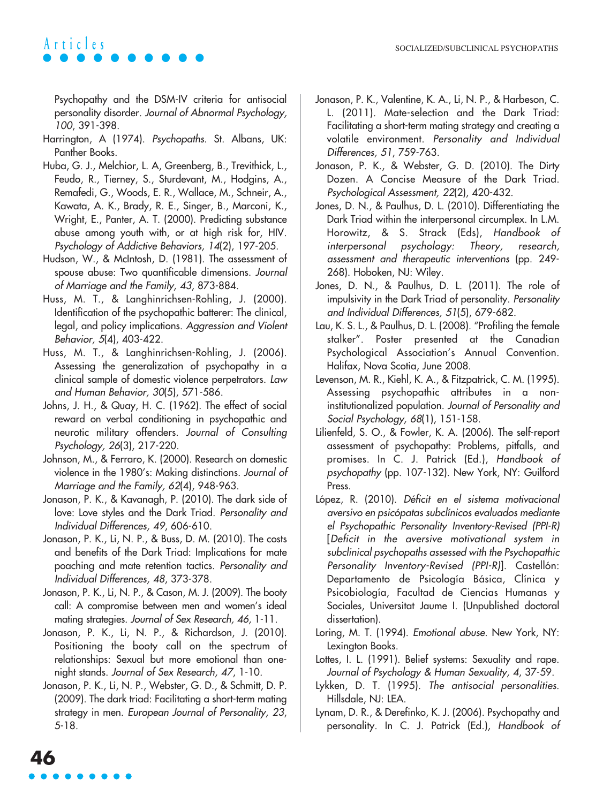Psychopathy and the DSM-IV criteria for antisocial personality disorder. Journal of Abnormal Psychology, 100, 391-398.

- Harrington, A (1974). Psychopaths. St. Albans, UK: Panther Books.
- Huba, G. J., Melchior, L. A, Greenberg, B., Trevithick, L., Feudo, R., Tierney, S., Sturdevant, M., Hodgins, A., Remafedi, G., Woods, E. R., Wallace, M., Schneir, A., Kawata, A. K., Brady, R. E., Singer, B., Marconi, K., Wright, E., Panter, A. T. (2000). Predicting substance abuse among youth with, or at high risk for, HIV. Psychology of Addictive Behaviors, 14(2), 197-205.
- Hudson, W., & McIntosh, D. (1981). The assessment of spouse abuse: Two quantificable dimensions. Journal of Marriage and the Family, 43, 873-884.
- Huss, M. T., & Langhinrichsen-Rohling, J. (2000). Identification of the psychopathic batterer: The clinical, legal, and policy implications. Aggression and Violent Behavior, 5(4), 403-422.
- Huss, M. T., & Langhinrichsen-Rohling, J. (2006). Assessing the generalization of psychopathy in a clinical sample of domestic violence perpetrators. Law and Human Behavior, 30(5), 571-586.
- Johns, J. H., & Quay, H. C. (1962). The effect of social reward on verbal conditioning in psychopathic and neurotic military offenders. Journal of Consulting Psychology, 26(3), 217-220.
- Johnson, M., & Ferraro, K. (2000). Research on domestic violence in the 1980's: Making distinctions. Journal of Marriage and the Family, 62(4), 948-963.
- Jonason, P. K., & Kavanagh, P. (2010). The dark side of love: Love styles and the Dark Triad. Personality and Individual Differences, 49, 606-610.
- Jonason, P. K., Li, N. P., & Buss, D. M. (2010). The costs and benefits of the Dark Triad: Implications for mate poaching and mate retention tactics. Personality and Individual Differences, 48, 373-378.
- Jonason, P. K., Li, N. P., & Cason, M. J. (2009). The booty call: A compromise between men and women's ideal mating strategies. Journal of Sex Research, 46, 1-11.
- Jonason, P. K., Li, N. P., & Richardson, J. (2010). Positioning the booty call on the spectrum of relationships: Sexual but more emotional than onenight stands. Journal of Sex Research, 47, 1-10.
- Jonason, P. K., Li, N. P., Webster, G. D., & Schmitt, D. P. (2009). The dark triad: Facilitating a short-term mating strategy in men. European Journal of Personality, 23, 5-18.

**46**

- Jonason, P. K., Valentine, K. A., Li, N. P., & Harbeson, C. L. (2011). Mate-selection and the Dark Triad: Facilitating a short-term mating strategy and creating a volatile environment. Personality and Individual Differences, 51, 759-763.
- Jonason, P. K., & Webster, G. D. (2010). The Dirty Dozen. A Concise Measure of the Dark Triad. Psychological Assessment, 22(2), 420-432.
- Jones, D. N., & Paulhus, D. L. (2010). Differentiating the Dark Triad within the interpersonal circumplex. In L.M. Horowitz, & S. Strack (Eds), Handbook of interpersonal psychology: Theory, research, assessment and therapeutic interventions (pp. 249- 268). Hoboken, NJ: Wiley.
- Jones, D. N., & Paulhus, D. L. (2011). The role of impulsivity in the Dark Triad of personality. Personality and Individual Differences, 51(5), 679-682.
- Lau, K. S. L., & Paulhus, D. L. (2008). "Profiling the female stalker". Poster presented at the Canadian Psychological Association's Annual Convention. Halifax, Nova Scotia, June 2008.
- Levenson, M. R., Kiehl, K. A., & Fitzpatrick, C. M. (1995). Assessing psychopathic attributes in a noninstitutionalized population. Journal of Personality and Social Psychology, 68(1), 151-158.
- Lilienfeld, S. O., & Fowler, K. A. (2006). The self-report assessment of psychopathy: Problems, pitfalls, and promises. In C. J. Patrick (Ed.), Handbook of psychopathy (pp. 107-132). New York, NY: Guilford Press.
- López, R. (2010). Déficit en el sistema motivacional aversivo en psicópatas subclínicos evaluados mediante el Psychopathic Personality Inventory-Revised (PPI-R) [Deficit in the aversive motivational system in subclinical psychopaths assessed with the Psychopathic Personality Inventory-Revised (PPI-R)]. Castellón: Departamento de Psicología Básica, Clínica y Psicobiología, Facultad de Ciencias Humanas y Sociales, Universitat Jaume I. (Unpublished doctoral dissertation).
- Loring, M. T. (1994). Emotional abuse. New York, NY: Lexington Books.
- Lottes, I. L. (1991). Belief systems: Sexuality and rape. Journal of Psychology & Human Sexuality, 4, 37-59.
- Lykken, D. T. (1995). The antisocial personalities. Hillsdale, NJ: LEA.
- Lynam, D. R., & Derefinko, K. J. (2006). Psychopathy and personality. In C. J. Patrick (Ed.), Handbook of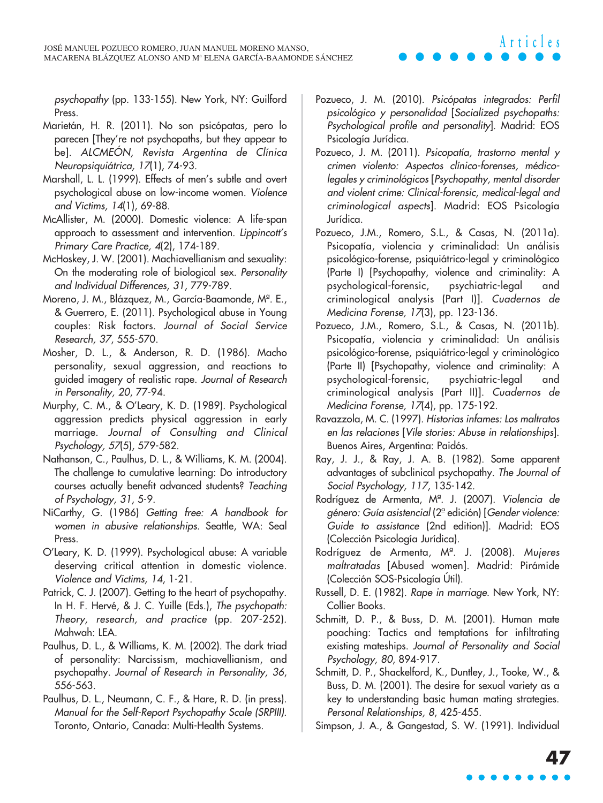psychopathy (pp. 133-155). New York, NY: Guilford Press.

- Marietán, H. R. (2011). No son psicópatas, pero lo parecen [They're not psychopaths, but they appear to be]. ALCMEÓN, Revista Argentina de Clínica Neuropsiquiátrica, 17(1), 74-93.
- Marshall, L. L. (1999). Effects of men's subtle and overt psychological abuse on low-income women. Violence and Victims, 14(1), 69-88.
- McAllister, M. (2000). Domestic violence: A life-span approach to assessment and intervention. Lippincott's Primary Care Practice, 4(2), 174-189.
- McHoskey, J. W. (2001). Machiavellianism and sexuality: On the moderating role of biological sex. Personality and Individual Differences, 31, 779-789.
- Moreno, J. M., Blázquez, M., García-Baamonde, Mª. E., & Guerrero, E. (2011). Psychological abuse in Young couples: Risk factors. Journal of Social Service Research, 37, 555-570.
- Mosher, D. L., & Anderson, R. D. (1986). Macho personality, sexual aggression, and reactions to guided imagery of realistic rape. Journal of Research in Personality, 20, 77-94.
- Murphy, C. M., & O'Leary, K. D. (1989). Psychological aggression predicts physical aggression in early marriage. Journal of Consulting and Clinical Psychology, 57(5), 579-582.
- Nathanson, C., Paulhus, D. L., & Williams, K. M. (2004). The challenge to cumulative learning: Do introductory courses actually benefit advanced students? Teaching of Psychology, 31, 5-9.
- NiCarthy, G. (1986) Getting free: A handbook for women in abusive relationships. Seattle, WA: Seal Press.
- O'Leary, K. D. (1999). Psychological abuse: A variable deserving critical attention in domestic violence. Violence and Victims, 14, 1-21.
- Patrick, C. J. (2007). Getting to the heart of psychopathy. In H. F. Hervé, & J. C. Yuille (Eds.), The psychopath: Theory, research, and practice (pp. 207-252). Mahwah: LEA.
- Paulhus, D. L., & Williams, K. M. (2002). The dark triad of personality: Narcissism, machiavellianism, and psychopathy. Journal of Research in Personality, 36, 556-563.
- Paulhus, D. L., Neumann, C. F., & Hare, R. D. (in press). Manual for the Self-Report Psychopathy Scale (SRPIII). Toronto, Ontario, Canada: Multi-Health Systems.

Pozueco, J. M. (2010). Psicópatas integrados: Perfil psicológico y personalidad [Socialized psychopaths: Psychological profile and personality]. Madrid: EOS Psicología Jurídica.

**Articles**

- Pozueco, J. M. (2011). Psicopatía, trastorno mental y crimen violento: Aspectos clínico-forenses, médicolegales y criminológicos [Psychopathy, mental disorder and violent crime: Clinical-forensic, medical-legal and criminological aspects]. Madrid: EOS Psicología Jurídica.
- Pozueco, J.M., Romero, S.L., & Casas, N. (2011a). Psicopatía, violencia y criminalidad: Un análisis psicológico-forense, psiquiátrico-legal y criminológico (Parte I) [Psychopathy, violence and criminality: A psychological-forensic, psychiatric-legal and criminological analysis (Part I)]. Cuadernos de Medicina Forense, 17(3), pp. 123-136.
- Pozueco, J.M., Romero, S.L., & Casas, N. (2011b). Psicopatía, violencia y criminalidad: Un análisis psicológico-forense, psiquiátrico-legal y criminológico (Parte II) [Psychopathy, violence and criminality: A psychological-forensic, psychiatric-legal and criminological analysis (Part II)]. Cuadernos de Medicina Forense, 17(4), pp. 175-192.
- Ravazzola, M. C. (1997). Historias infames: Los maltratos en las relaciones [Vile stories: Abuse in relationships]. Buenos Aires, Argentina: Paidós.
- Ray, J. J., & Ray, J. A. B. (1982). Some apparent advantages of subclinical psychopathy. The Journal of Social Psychology, 117, 135-142.
- Rodríguez de Armenta, Mª. J. (2007). Violencia de <sup>g</sup>énero: Guía asistencial (2ª edición) [Gender violence: Guide to assistance (2nd edition)]. Madrid: EOS (Colección Psicología Jurídica).
- Rodríguez de Armenta, Mª. J. (2008). Mujeres maltratadas [Abused women]. Madrid: Pirámide (Colección SOS-Psicología Útil).
- Russell, D. E. (1982). Rape in marriage. New York, NY: Collier Books.
- Schmitt, D. P., & Buss, D. M. (2001). Human mate poaching: Tactics and temptations for infiltrating existing mateships. Journal of Personality and Social Psychology, 80, 894-917.
- Schmitt, D. P., Shackelford, K., Duntley, J., Tooke, W., & Buss, D. M. (2001). The desire for sexual variety as a key to understanding basic human mating strategies. Personal Relationships, 8, 425-455.

Simpson, J. A., & Gangestad, S. W. (1991). Individual